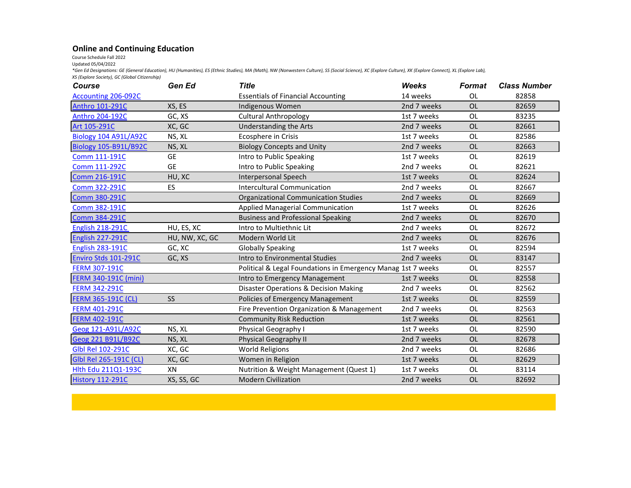## **Online and Continuing Education**

Course Schedule Fall 2022

Updated 05/04/2022

*\*Gen Ed Designations: GE (General Education), HU (Humanities), ES (Ethnic Studies), MA (Math), NW (Nonwestern Culture), SS (Social Science), XC (Explore Culture), XK (Explore Connect), XL (Explore Lab), XS (Explore Society), GC (Global Citizenship)*

| Course                       | Gen Ed         | <b>Title</b>                                                 | <b>Weeks</b> | <b>Format</b> | <b>Class Number</b> |
|------------------------------|----------------|--------------------------------------------------------------|--------------|---------------|---------------------|
| <b>Accounting 206-092C</b>   |                | <b>Essentials of Financial Accounting</b>                    | 14 weeks     | OL            | 82858               |
| <b>Anthro 101-291C</b>       | XS, ES         | Indigenous Women                                             | 2nd 7 weeks  | <b>OL</b>     | 82659               |
| Anthro 204-192C              | GC, XS         | <b>Cultural Anthropology</b>                                 | 1st 7 weeks  | OL            | 83235               |
| Art 105-291C                 | XC, GC         | Understanding the Arts                                       | 2nd 7 weeks  | <b>OL</b>     | 82661               |
| <b>Biology 104 A91L/A92C</b> | NS, XL         | Ecosphere in Crisis                                          | 1st 7 weeks  | <b>OL</b>     | 82586               |
| <b>Biology 105-B91L/B92C</b> | NS, XL         | <b>Biology Concepts and Unity</b>                            | 2nd 7 weeks  | <b>OL</b>     | 82663               |
| Comm 111-191C                | <b>GE</b>      | Intro to Public Speaking                                     | 1st 7 weeks  | OL            | 82619               |
| <b>Comm 111-292C</b>         | <b>GE</b>      | Intro to Public Speaking                                     | 2nd 7 weeks  | OL            | 82621               |
| Comm 216-191C                | HU, XC         | <b>Interpersonal Speech</b>                                  | 1st 7 weeks  | <b>OL</b>     | 82624               |
| Comm 322-291C                | ES             | <b>Intercultural Communication</b>                           | 2nd 7 weeks  | <b>OL</b>     | 82667               |
| <b>Comm 380-291C</b>         |                | <b>Organizational Communication Studies</b>                  | 2nd 7 weeks  | <b>OL</b>     | 82669               |
| Comm 382-191C                |                | Applied Managerial Communication                             | 1st 7 weeks  | <b>OL</b>     | 82626               |
| <b>Comm 384-291C</b>         |                | <b>Business and Professional Speaking</b>                    | 2nd 7 weeks  | <b>OL</b>     | 82670               |
| <b>English 218-291C</b>      | HU, ES, XC     | Intro to Multiethnic Lit                                     | 2nd 7 weeks  | <b>OL</b>     | 82672               |
| <b>English 227-291C</b>      | HU, NW, XC, GC | Modern World Lit                                             | 2nd 7 weeks  | OL            | 82676               |
| <b>English 283-191C</b>      | GC, XC         | <b>Globally Speaking</b>                                     | 1st 7 weeks  | OL            | 82594               |
| Enviro Stds 101-291C         | GC, XS         | Intro to Environmental Studies                               | 2nd 7 weeks  | OL            | 83147               |
| <b>FERM 307-191C</b>         |                | Political & Legal Foundations in Emergency Manag 1st 7 weeks |              | OL            | 82557               |
| FERM 340-191C (mini)         |                | Intro to Emergency Management                                | 1st 7 weeks  | <b>OL</b>     | 82558               |
| <b>FERM 342-291C</b>         |                | Disaster Operations & Decision Making                        | 2nd 7 weeks  | <b>OL</b>     | 82562               |
| <b>FERM 365-191C (CL)</b>    | SS             | Policies of Emergency Management                             | 1st 7 weeks  | <b>OL</b>     | 82559               |
| <b>FERM 401-291C</b>         |                | Fire Prevention Organization & Management                    | 2nd 7 weeks  | OL            | 82563               |
| <b>FERM 402-191C</b>         |                | <b>Community Risk Reduction</b>                              | 1st 7 weeks  | <b>OL</b>     | 82561               |
| Geog 121-A91L/A92C           | NS, XL         | Physical Geography I                                         | 1st 7 weeks  | <b>OL</b>     | 82590               |
| Geog 221 B91L/B92C           | NS, XL         | <b>Physical Geography II</b>                                 | 2nd 7 weeks  | <b>OL</b>     | 82678               |
| Glbl Rel 102-291C            | XC, GC         | <b>World Religions</b>                                       | 2nd 7 weeks  | <b>OL</b>     | 82686               |
| Glbl Rel 265-191C (CL)       | XC, GC         | Women in Religion                                            | 1st 7 weeks  | <b>OL</b>     | 82629               |
| Hlth Edu 211Q1-193C          | XN             | Nutrition & Weight Management (Quest 1)                      | 1st 7 weeks  | <b>OL</b>     | 83114               |
| <b>History 112-291C</b>      | XS, SS, GC     | <b>Modern Civilization</b>                                   | 2nd 7 weeks  | <b>OL</b>     | 82692               |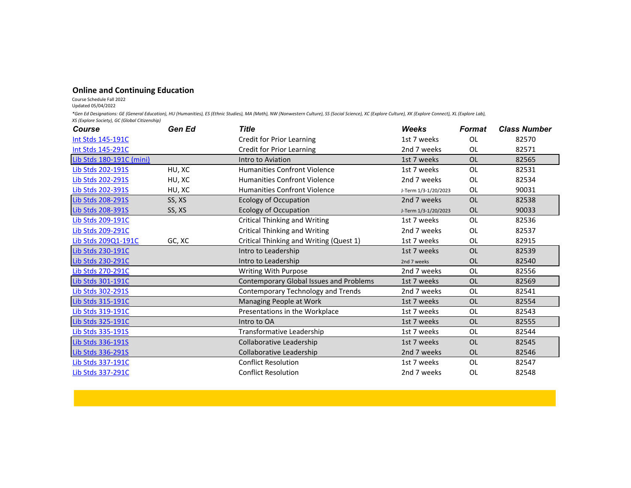## **Online and Continuing Education**

Course Schedule Fall 2022

Updated 05/04/2022

*\*Gen Ed Designations: GE (General Education), HU (Humanities), ES (Ethnic Studies), MA (Math), NW (Nonwestern Culture), SS (Social Science), XC (Explore Culture), XK (Explore Connect), XL (Explore Lab), XS (Explore Society), GC (Global Citizenship)*

| <b>Course</b>            | Gen Ed | <b>Title</b>                            | Weeks                | <b>Format</b> | <b>Class Number</b> |
|--------------------------|--------|-----------------------------------------|----------------------|---------------|---------------------|
| Int Stds 145-191C        |        | <b>Credit for Prior Learning</b>        | 1st 7 weeks          | OL            | 82570               |
| Int Stds 145-291C        |        | <b>Credit for Prior Learning</b>        | 2nd 7 weeks          | <b>OL</b>     | 82571               |
| Lib Stds 180-191C (mini) |        | Intro to Aviation                       | 1st 7 weeks          | <b>OL</b>     | 82565               |
| Lib Stds 202-191S        | HU, XC | <b>Humanities Confront Violence</b>     | 1st 7 weeks          | OL            | 82531               |
| Lib Stds 202-291S        | HU, XC | <b>Humanities Confront Violence</b>     | 2nd 7 weeks          | OL            | 82534               |
| Lib Stds 202-391S        | HU, XC | <b>Humanities Confront Violence</b>     | J-Term 1/3-1/20/2023 | OL            | 90031               |
| Lib Stds 208-291S        | SS, XS | <b>Ecology of Occupation</b>            | 2nd 7 weeks          | <b>OL</b>     | 82538               |
| Lib Stds 208-391S        | SS, XS | <b>Ecology of Occupation</b>            | J-Term 1/3-1/20/2023 | <b>OL</b>     | 90033               |
| Lib Stds 209-191C        |        | <b>Critical Thinking and Writing</b>    | 1st 7 weeks          | OL            | 82536               |
| Lib Stds 209-291C        |        | <b>Critical Thinking and Writing</b>    | 2nd 7 weeks          | <b>OL</b>     | 82537               |
| Lib Stds 209Q1-191C      | GC, XC | Critical Thinking and Writing (Quest 1) | 1st 7 weeks          | OL            | 82915               |
| Lib Stds 230-191C        |        | Intro to Leadership                     | 1st 7 weeks          | <b>OL</b>     | 82539               |
| Lib Stds 230-291C        |        | Intro to Leadership                     | 2nd 7 weeks          | <b>OL</b>     | 82540               |
| Lib Stds 270-291C        |        | Writing With Purpose                    | 2nd 7 weeks          | <b>OL</b>     | 82556               |
| Lib Stds 301-191C        |        | Contemporary Global Issues and Problems | 1st 7 weeks          | <b>OL</b>     | 82569               |
| Lib Stds 302-291S        |        | Contemporary Technology and Trends      | 2nd 7 weeks          | <b>OL</b>     | 82541               |
| Lib Stds 315-191C        |        | Managing People at Work                 | 1st 7 weeks          | <b>OL</b>     | 82554               |
| Lib Stds 319-191C        |        | Presentations in the Workplace          | 1st 7 weeks          | OL            | 82543               |
| Lib Stds 325-191C        |        | Intro to OA                             | 1st 7 weeks          | OL            | 82555               |
| Lib Stds 335-191S        |        | Transformative Leadership               | 1st 7 weeks          | OL            | 82544               |
| Lib Stds 336-191S        |        | Collaborative Leadership                | 1st 7 weeks          | <b>OL</b>     | 82545               |
| Lib Stds 336-291S        |        | Collaborative Leadership                | 2nd 7 weeks          | <b>OL</b>     | 82546               |
| Lib Stds 337-191C        |        | <b>Conflict Resolution</b>              | 1st 7 weeks          | OL            | 82547               |
| Lib Stds 337-291C        |        | <b>Conflict Resolution</b>              | 2nd 7 weeks          | OL            | 82548               |